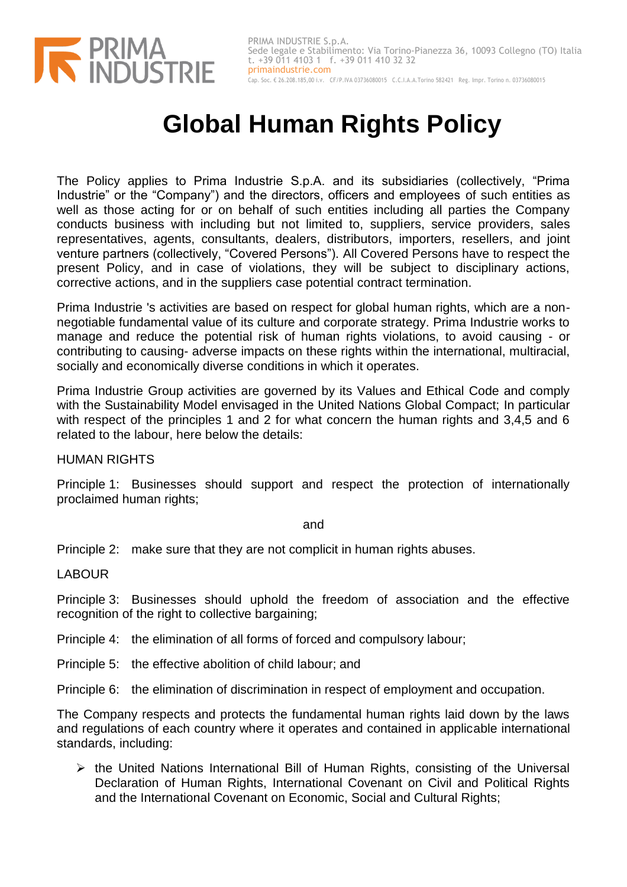

## **Global Human Rights Policy**

The Policy applies to Prima Industrie S.p.A. and its subsidiaries (collectively, "Prima Industrie" or the "Company") and the directors, officers and employees of such entities as well as those acting for or on behalf of such entities including all parties the Company conducts business with including but not limited to, suppliers, service providers, sales representatives, agents, consultants, dealers, distributors, importers, resellers, and joint venture partners (collectively, "Covered Persons"). All Covered Persons have to respect the present Policy, and in case of violations, they will be subject to disciplinary actions, corrective actions, and in the suppliers case potential contract termination.

Prima Industrie 's activities are based on respect for global human rights, which are a nonnegotiable fundamental value of its culture and corporate strategy. Prima Industrie works to manage and reduce the potential risk of human rights violations, to avoid causing - or contributing to causing- adverse impacts on these rights within the international, multiracial, socially and economically diverse conditions in which it operates.

Prima Industrie Group activities are governed by its Values and Ethical Code and comply with the Sustainability Model envisaged in the United Nations Global Compact; In particular with respect of the principles 1 and 2 for what concern the human rights and 3,4,5 and 6 related to the labour, here below the details:

HUMAN RIGHTS

Principle 1: Businesses should support and respect the protection of internationally proclaimed human rights;

and

Principle 2: make sure that they are not complicit in human rights abuses.

LABOUR

Principle 3: Businesses should uphold the freedom of association and the effective recognition of the right to collective bargaining;

Principle 4: the elimination of all forms of forced and compulsory labour;

Principle 5: the effective abolition of child labour; and

Principle 6: the elimination of discrimination in respect of employment and occupation.

The Company respects and protects the fundamental human rights laid down by the laws and regulations of each country where it operates and contained in applicable international standards, including:

 $\triangleright$  the United Nations International Bill of Human Rights, consisting of the Universal Declaration of Human Rights, International Covenant on Civil and Political Rights and the International Covenant on Economic, Social and Cultural Rights;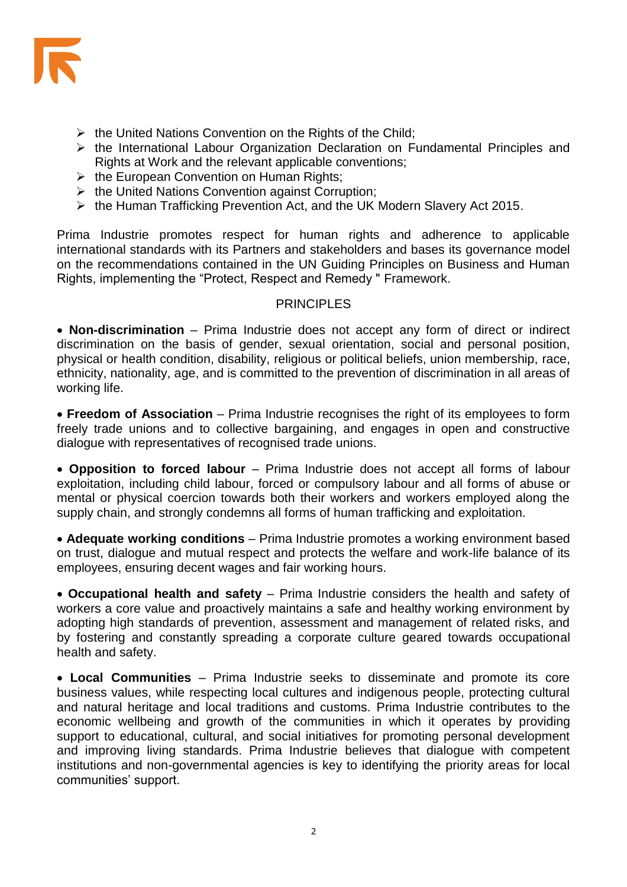

- $\triangleright$  the United Nations Convention on the Rights of the Child;
- $\triangleright$  the International Labour Organization Declaration on Fundamental Principles and Rights at Work and the relevant applicable conventions;
- $\triangleright$  the European Convention on Human Rights;
- $\triangleright$  the United Nations Convention against Corruption;
- the Human Trafficking Prevention Act, and the UK Modern Slavery Act 2015.

Prima Industrie promotes respect for human rights and adherence to applicable international standards with its Partners and stakeholders and bases its governance model on the recommendations contained in the UN Guiding Principles on Business and Human Rights, implementing the "Protect, Respect and Remedy " Framework.

## **PRINCIPLES**

 **Non-discrimination** – Prima Industrie does not accept any form of direct or indirect discrimination on the basis of gender, sexual orientation, social and personal position, physical or health condition, disability, religious or political beliefs, union membership, race, ethnicity, nationality, age, and is committed to the prevention of discrimination in all areas of working life.

 **Freedom of Association** – Prima Industrie recognises the right of its employees to form freely trade unions and to collective bargaining, and engages in open and constructive dialogue with representatives of recognised trade unions.

 **Opposition to forced labour** – Prima Industrie does not accept all forms of labour exploitation, including child labour, forced or compulsory labour and all forms of abuse or mental or physical coercion towards both their workers and workers employed along the supply chain, and strongly condemns all forms of human trafficking and exploitation.

 **Adequate working conditions** – Prima Industrie promotes a working environment based on trust, dialogue and mutual respect and protects the welfare and work-life balance of its employees, ensuring decent wages and fair working hours.

 **Occupational health and safety** – Prima Industrie considers the health and safety of workers a core value and proactively maintains a safe and healthy working environment by adopting high standards of prevention, assessment and management of related risks, and by fostering and constantly spreading a corporate culture geared towards occupational health and safety.

 **Local Communities** – Prima Industrie seeks to disseminate and promote its core business values, while respecting local cultures and indigenous people, protecting cultural and natural heritage and local traditions and customs. Prima Industrie contributes to the economic wellbeing and growth of the communities in which it operates by providing support to educational, cultural, and social initiatives for promoting personal development and improving living standards. Prima Industrie believes that dialogue with competent institutions and non-governmental agencies is key to identifying the priority areas for local communities' support.